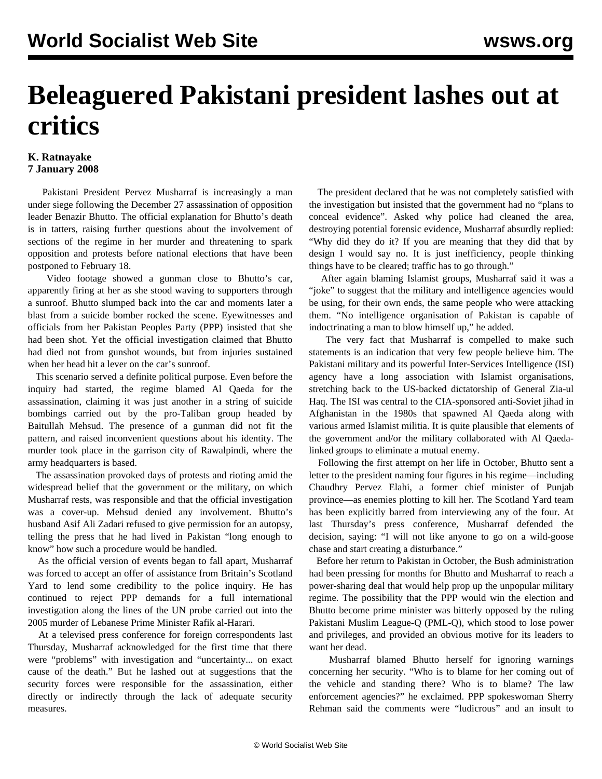## **Beleaguered Pakistani president lashes out at critics**

## **K. Ratnayake 7 January 2008**

 Pakistani President Pervez Musharraf is increasingly a man under siege following the December 27 assassination of opposition leader Benazir Bhutto. The official explanation for Bhutto's death is in tatters, raising further questions about the involvement of sections of the regime in her murder and threatening to spark opposition and protests before national elections that have been postponed to February 18.

 Video footage showed a gunman close to Bhutto's car, apparently firing at her as she stood waving to supporters through a sunroof. Bhutto slumped back into the car and moments later a blast from a suicide bomber rocked the scene. Eyewitnesses and officials from her Pakistan Peoples Party (PPP) insisted that she had been shot. Yet the official investigation claimed that Bhutto had died not from gunshot wounds, but from injuries sustained when her head hit a lever on the car's sunroof.

 This scenario served a definite political purpose. Even before the inquiry had started, the regime blamed Al Qaeda for the assassination, claiming it was just another in a string of suicide bombings carried out by the pro-Taliban group headed by Baitullah Mehsud. The presence of a gunman did not fit the pattern, and raised inconvenient questions about his identity. The murder took place in the garrison city of Rawalpindi, where the army headquarters is based.

 The assassination provoked days of protests and rioting amid the widespread belief that the government or the military, on which Musharraf rests, was responsible and that the official investigation was a cover-up. Mehsud denied any involvement. Bhutto's husband Asif Ali Zadari refused to give permission for an autopsy, telling the press that he had lived in Pakistan "long enough to know" how such a procedure would be handled.

 As the official version of events began to fall apart, Musharraf was forced to accept an offer of assistance from Britain's Scotland Yard to lend some credibility to the police inquiry. He has continued to reject PPP demands for a full international investigation along the lines of the UN probe carried out into the 2005 murder of Lebanese Prime Minister Rafik al-Harari.

 At a televised press conference for foreign correspondents last Thursday, Musharraf acknowledged for the first time that there were "problems" with investigation and "uncertainty... on exact cause of the death." But he lashed out at suggestions that the security forces were responsible for the assassination, either directly or indirectly through the lack of adequate security measures.

 The president declared that he was not completely satisfied with the investigation but insisted that the government had no "plans to conceal evidence". Asked why police had cleaned the area, destroying potential forensic evidence, Musharraf absurdly replied: "Why did they do it? If you are meaning that they did that by design I would say no. It is just inefficiency, people thinking things have to be cleared; traffic has to go through."

 After again blaming Islamist groups, Musharraf said it was a "joke" to suggest that the military and intelligence agencies would be using, for their own ends, the same people who were attacking them. "No intelligence organisation of Pakistan is capable of indoctrinating a man to blow himself up," he added.

 The very fact that Musharraf is compelled to make such statements is an indication that very few people believe him. The Pakistani military and its powerful Inter-Services Intelligence (ISI) agency have a long association with Islamist organisations, stretching back to the US-backed dictatorship of General Zia-ul Haq. The ISI was central to the CIA-sponsored anti-Soviet jihad in Afghanistan in the 1980s that spawned Al Qaeda along with various armed Islamist militia. It is quite plausible that elements of the government and/or the military collaborated with Al Qaedalinked groups to eliminate a mutual enemy.

 Following the first attempt on her life in October, Bhutto sent a letter to the president naming four figures in his regime—including Chaudhry Pervez Elahi, a former chief minister of Punjab province—as enemies plotting to kill her. The Scotland Yard team has been explicitly barred from interviewing any of the four. At last Thursday's press conference, Musharraf defended the decision, saying: "I will not like anyone to go on a wild-goose chase and start creating a disturbance."

 Before her return to Pakistan in October, the Bush administration had been pressing for months for Bhutto and Musharraf to reach a power-sharing deal that would help prop up the unpopular military regime. The possibility that the PPP would win the election and Bhutto become prime minister was bitterly opposed by the ruling Pakistani Muslim League-Q (PML-Q), which stood to lose power and privileges, and provided an obvious motive for its leaders to want her dead.

 Musharraf blamed Bhutto herself for ignoring warnings concerning her security. "Who is to blame for her coming out of the vehicle and standing there? Who is to blame? The law enforcement agencies?" he exclaimed. PPP spokeswoman Sherry Rehman said the comments were "ludicrous" and an insult to